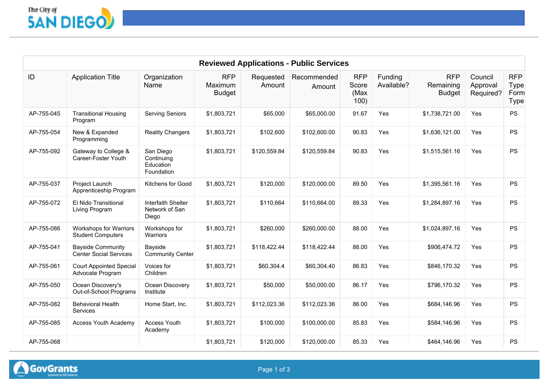

|            |                                                           |                                                    |                                        |                     | <b>Reviewed Applications - Public Services</b> |                                     |                       |                                          |                                  |                                                  |
|------------|-----------------------------------------------------------|----------------------------------------------------|----------------------------------------|---------------------|------------------------------------------------|-------------------------------------|-----------------------|------------------------------------------|----------------------------------|--------------------------------------------------|
| ID         | <b>Application Title</b>                                  | Organization<br>Name                               | <b>RFP</b><br>Maximum<br><b>Budget</b> | Requested<br>Amount | Recommended<br>Amount                          | <b>RFP</b><br>Score<br>(Max<br>100) | Funding<br>Available? | <b>RFP</b><br>Remaining<br><b>Budget</b> | Council<br>Approval<br>Required? | <b>RFP</b><br><b>Type</b><br>Form<br><b>Type</b> |
| AP-755-045 | <b>Transitional Housing</b><br>Program                    | <b>Serving Seniors</b>                             | \$1,803,721                            | \$65,000            | \$65,000.00                                    | 91.67                               | Yes                   | \$1,738,721.00                           | Yes                              | <b>PS</b>                                        |
| AP-755-054 | New & Expanded<br>Programming                             | <b>Reality Changers</b>                            | \$1,803,721                            | \$102,600           | \$102,600.00                                   | 90.83                               | Yes                   | \$1,636,121.00                           | Yes                              | <b>PS</b>                                        |
| AP-755-092 | Gateway to College &<br>Career-Foster Youth               | San Diego<br>Continuing<br>Education<br>Foundation | \$1,803,721                            | \$120,559.84        | \$120,559.84                                   | 90.83                               | Yes                   | \$1,515,561.16                           | Yes                              | <b>PS</b>                                        |
| AP-755-037 | Project Launch<br>Apprenticeship Program                  | Kitchens for Good                                  | \$1,803,721                            | \$120,000           | \$120,000.00                                   | 89.50                               | Yes                   | \$1,395,561.16                           | Yes                              | <b>PS</b>                                        |
| AP-755-072 | El Nido Transitional<br>Living Program                    | Interfaith Shelter<br>Network of San<br>Diego      | \$1,803,721                            | \$110,664           | \$110,664.00                                   | 89.33                               | Yes                   | \$1,284,897.16                           | Yes                              | <b>PS</b>                                        |
| AP-755-086 | <b>Workshops for Warriors</b><br><b>Student Computers</b> | Workshops for<br>Warriors                          | \$1,803,721                            | \$260,000           | \$260,000.00                                   | 88.00                               | Yes                   | \$1,024,897.16                           | Yes                              | PS                                               |
| AP-755-041 | <b>Bayside Community</b><br><b>Center Social Services</b> | Bayside<br><b>Community Center</b>                 | \$1,803,721                            | \$118,422.44        | \$118,422.44                                   | 88.00                               | Yes                   | \$906,474.72                             | Yes                              | <b>PS</b>                                        |
| AP-755-061 | <b>Court Appointed Special</b><br>Advocate Program        | Voices for<br>Children                             | \$1,803,721                            | \$60,304.4          | \$60,304.40                                    | 86.83                               | Yes                   | \$846,170.32                             | Yes                              | <b>PS</b>                                        |
| AP-755-050 | Ocean Discovery's<br>Out-of-School Programs               | Ocean Discovery<br>Institute                       | \$1,803,721                            | \$50,000            | \$50,000.00                                    | 86.17                               | Yes                   | \$796,170.32                             | Yes                              | <b>PS</b>                                        |
| AP-755-082 | <b>Behavioral Health</b><br><b>Services</b>               | Home Start, Inc.                                   | \$1,803,721                            | \$112,023.36        | \$112,023.36                                   | 86.00                               | Yes                   | \$684,146.96                             | Yes                              | <b>PS</b>                                        |
| AP-755-085 | <b>Access Youth Academy</b>                               | Access Youth<br>Academy                            | \$1,803,721                            | \$100,000           | \$100,000.00                                   | 85.83                               | Yes                   | \$584,146.96                             | Yes                              | <b>PS</b>                                        |
| AP-755-068 |                                                           |                                                    | \$1,803,721                            | \$120,000           | \$120,000.00                                   | 85.33                               | Yes                   | \$464,146.96                             | Yes                              | PS                                               |

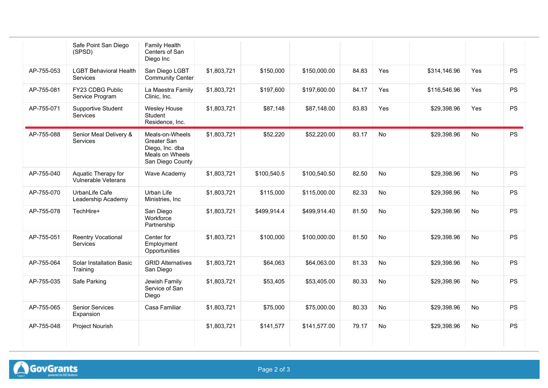|            | Safe Point San Diego<br>(SPSD)                    | Family Health<br>Centers of San<br>Diego Inc                                             |             |             |              |       |           |              |           |           |
|------------|---------------------------------------------------|------------------------------------------------------------------------------------------|-------------|-------------|--------------|-------|-----------|--------------|-----------|-----------|
| AP-755-053 | <b>LGBT Behavioral Health</b><br>Services         | San Diego LGBT<br>Community Center                                                       | \$1,803,721 | \$150,000   | \$150,000.00 | 84.83 | Yes       | \$314,146.96 | Yes       | <b>PS</b> |
| AP-755-081 | FY23 CDBG Public<br>Service Program               | La Maestra Family<br>Clinic, Inc.                                                        | \$1,803,721 | \$197,600   | \$197,600.00 | 84.17 | Yes       | \$116,546.96 | Yes       | <b>PS</b> |
| AP-755-071 | Supportive Student<br><b>Services</b>             | <b>Wesley House</b><br>Student<br>Residence, Inc.                                        | \$1,803,721 | \$87,148    | \$87,148.00  | 83.83 | Yes       | \$29,398.96  | Yes       | PS        |
| AP-755-088 | Senior Meal Delivery &<br><b>Services</b>         | Meals-on-Wheels<br>Greater San<br>Diego, Inc. dba<br>Meals on Wheels<br>San Diego County | \$1,803,721 | \$52,220    | \$52,220.00  | 83.17 | No        | \$29,398.96  | No        | <b>PS</b> |
| AP-755-040 | Aquatic Therapy for<br><b>Vulnerable Veterans</b> | Wave Academy                                                                             | \$1,803,721 | \$100,540.5 | \$100,540.50 | 82.50 | No        | \$29,398.96  | No        | <b>PS</b> |
| AP-755-070 | UrbanLife Cafe<br>Leadership Academy              | Urban Life<br>Ministries, Inc                                                            | \$1,803,721 | \$115,000   | \$115,000.00 | 82.33 | No        | \$29,398.96  | No        | <b>PS</b> |
| AP-755-078 | TechHire+                                         | San Diego<br>Workforce<br>Partnership                                                    | \$1,803,721 | \$499,914.4 | \$499,914.40 | 81.50 | No        | \$29,398.96  | No        | <b>PS</b> |
| AP-755-051 | <b>Reentry Vocational</b><br><b>Services</b>      | Center for<br>Employment<br>Opportunities                                                | \$1,803,721 | \$100,000   | \$100,000.00 | 81.50 | <b>No</b> | \$29,398.96  | No        | <b>PS</b> |
| AP-755-064 | <b>Solar Installation Basic</b><br>Training       | <b>GRID Alternatives</b><br>San Diego                                                    | \$1,803,721 | \$64,063    | \$64,063.00  | 81.33 | No        | \$29,398.96  | No        | <b>PS</b> |
| AP-755-035 | Safe Parking                                      | Jewish Family<br>Service of San<br>Diego                                                 | \$1,803,721 | \$53,405    | \$53,405.00  | 80.33 | No        | \$29,398.96  | No        | PS        |
| AP-755-065 | <b>Senior Services</b><br>Expansion               | Casa Familiar                                                                            | \$1,803,721 | \$75,000    | \$75,000.00  | 80.33 | <b>No</b> | \$29,398.96  | <b>No</b> | <b>PS</b> |
| AP-755-048 | Project Nourish                                   |                                                                                          | \$1,803,721 | \$141,577   | \$141,577.00 | 79.17 | <b>No</b> | \$29,398.96  | <b>No</b> | <b>PS</b> |